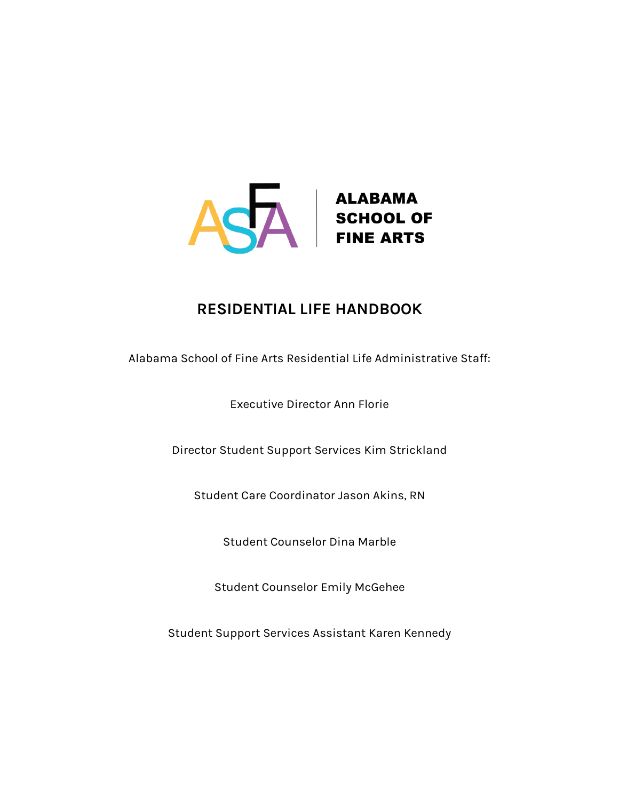

# **RESIDENTIAL LIFE HANDBOOK**

Alabama School of Fine Arts Residential Life Administrative Staff:

Executive Director Ann Florie

Director Student Support Services Kim Strickland

Student Care Coordinator Jason Akins, RN

Student Counselor Dina Marble

Student Counselor Emily McGehee

Student Support Services Assistant Karen Kennedy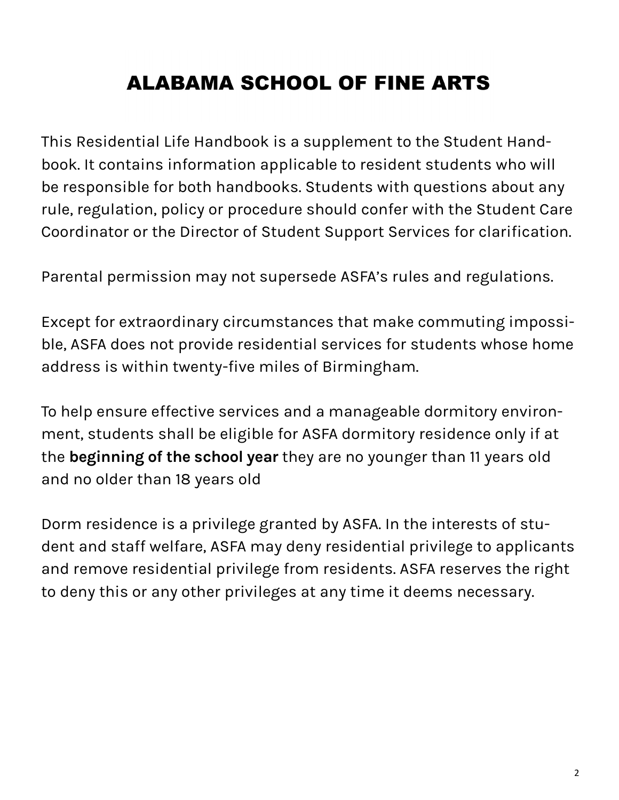# **ALABAMA SCHOOL OF FINE ARTS**

This Residential Life Handbook is a supplement to the Student Handbook. It contains information applicable to resident students who will be responsible for both handbooks. Students with questions about any rule, regulation, policy or procedure should confer with the Student Care Coordinator or the Director of Student Support Services for clarification.

Parental permission may not supersede ASFA's rules and regulations.

Except for extraordinary circumstances that make commuting impossible, ASFA does not provide residential services for students whose home address is within twenty-five miles of Birmingham.

To help ensure effective services and a manageable dormitory environment, students shall be eligible for ASFA dormitory residence only if at the **beginning of the school year** they are no younger than 11 years old and no older than 18 years old

Dorm residence is a privilege granted by ASFA. In the interests of student and staff welfare, ASFA may deny residential privilege to applicants and remove residential privilege from residents. ASFA reserves the right to deny this or any other privileges at any time it deems necessary.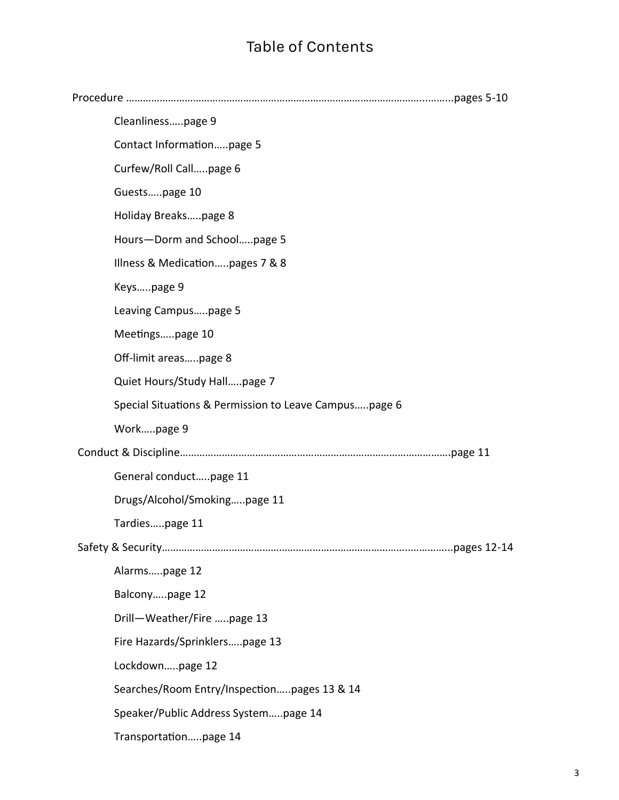# Table of Contents

| Cleanlinesspage 9                                     |  |
|-------------------------------------------------------|--|
| Contact Informationpage 5                             |  |
| Curfew/Roll Callpage 6                                |  |
| Guestspage 10                                         |  |
| Holiday Breakspage 8                                  |  |
| Hours-Dorm and Schoolpage 5                           |  |
| Illness & Medicationpages 7 & 8                       |  |
| Keyspage 9                                            |  |
| Leaving Campuspage 5                                  |  |
| Meetingspage 10                                       |  |
| Off-limit areaspage 8                                 |  |
| Quiet Hours/Study Hallpage 7                          |  |
| Special Situations & Permission to Leave Campuspage 6 |  |
| Workpage 9                                            |  |
|                                                       |  |
| General conductpage 11                                |  |
| Drugs/Alcohol/Smokingpage 11                          |  |
| Tardiespage 11                                        |  |
|                                                       |  |
| Alarmspage 12                                         |  |
| Balconypage 12                                        |  |
| Drill-Weather/Fire page 13                            |  |
| Fire Hazards/Sprinklerspage 13                        |  |
| Lockdownpage 12                                       |  |
| Searches/Room Entry/Inspectionpages 13 & 14           |  |
| Speaker/Public Address Systempage 14                  |  |
| Transportationpage 14                                 |  |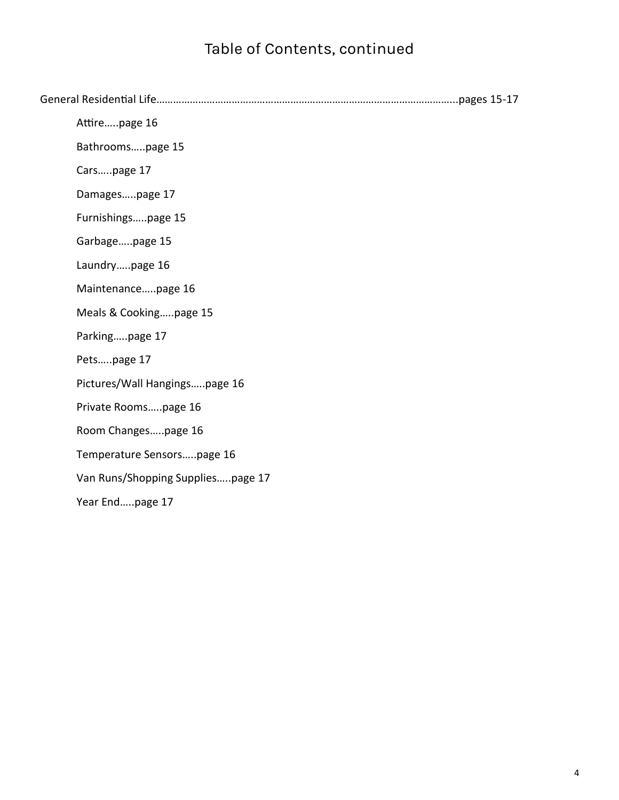# Table of Contents, continued

| Attirepage 16                     |
|-----------------------------------|
| Bathroomspage 15                  |
| Carspage 17                       |
| Damagespage 17                    |
| Furnishingspage 15                |
| Garbagepage 15                    |
| Laundrypage 16                    |
| Maintenancepage 16                |
| Meals & Cookingpage 15            |
| Parkingpage 17                    |
| Petspage 17                       |
| Pictures/Wall Hangingspage 16     |
| Private Roomspage 16              |
| Room Changespage 16               |
| Temperature Sensorspage 16        |
| Van Runs/Shopping Suppliespage 17 |
| Year Endpage 17                   |
|                                   |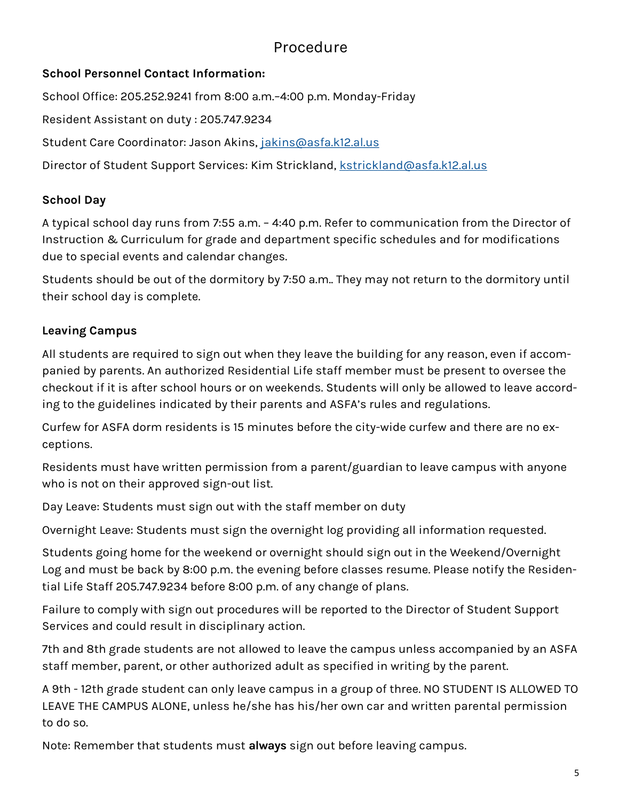# Procedure

# **School Personnel Contact Information:**

School Office: 205.252.9241 from 8:00 a.m.–4:00 p.m. Monday-Friday

Resident Assistant on duty : 205.747.9234

Student Care Coordinator: Jason Akins, [jakins@asfa.k12.al.us](mailto:jakins@asfa.k12.al.us)

Director of Student Support Services: Kim Strickland, [kstrickland@asfa.k12.al.us](mailto:kstrickland@asfa.k12.al.us)

# **School Day**

A typical school day runs from 7:55 a.m. – 4:40 p.m. Refer to communication from the Director of Instruction & Curriculum for grade and department specific schedules and for modifications due to special events and calendar changes.

Students should be out of the dormitory by 7:50 a.m.. They may not return to the dormitory until their school day is complete.

# **Leaving Campus**

All students are required to sign out when they leave the building for any reason, even if accompanied by parents. An authorized Residential Life staff member must be present to oversee the checkout if it is after school hours or on weekends. Students will only be allowed to leave according to the guidelines indicated by their parents and ASFA's rules and regulations.

Curfew for ASFA dorm residents is 15 minutes before the city-wide curfew and there are no exceptions.

Residents must have written permission from a parent/guardian to leave campus with anyone who is not on their approved sign-out list.

Day Leave: Students must sign out with the staff member on duty

Overnight Leave: Students must sign the overnight log providing all information requested.

Students going home for the weekend or overnight should sign out in the Weekend/Overnight Log and must be back by 8:00 p.m. the evening before classes resume. Please notify the Residential Life Staff 205.747.9234 before 8:00 p.m. of any change of plans.

Failure to comply with sign out procedures will be reported to the Director of Student Support Services and could result in disciplinary action.

7th and 8th grade students are not allowed to leave the campus unless accompanied by an ASFA staff member, parent, or other authorized adult as specified in writing by the parent.

A 9th - 12th grade student can only leave campus in a group of three. NO STUDENT IS ALLOWED TO LEAVE THE CAMPUS ALONE, unless he/she has his/her own car and written parental permission to do so.

Note: Remember that students must **always** sign out before leaving campus.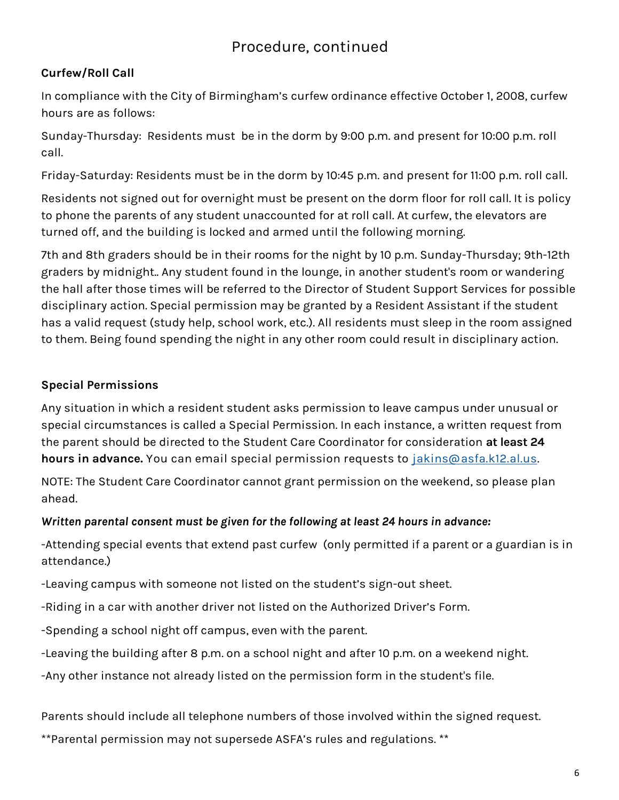# **Curfew/Roll Call**

In compliance with the City of Birmingham's curfew ordinance effective October 1, 2008, curfew hours are as follows:

Sunday-Thursday: Residents must be in the dorm by 9:00 p.m. and present for 10:00 p.m. roll call.

Friday-Saturday: Residents must be in the dorm by 10:45 p.m. and present for 11:00 p.m. roll call.

Residents not signed out for overnight must be present on the dorm floor for roll call. It is policy to phone the parents of any student unaccounted for at roll call. At curfew, the elevators are turned off, and the building is locked and armed until the following morning.

7th and 8th graders should be in their rooms for the night by 10 p.m. Sunday-Thursday; 9th-12th graders by midnight.. Any student found in the lounge, in another student's room or wandering the hall after those times will be referred to the Director of Student Support Services for possible disciplinary action. Special permission may be granted by a Resident Assistant if the student has a valid request (study help, school work, etc.). All residents must sleep in the room assigned to them. Being found spending the night in any other room could result in disciplinary action.

# **Special Permissions**

Any situation in which a resident student asks permission to leave campus under unusual or special circumstances is called a Special Permission. In each instance, a written request from the parent should be directed to the Student Care Coordinator for consideration **at least 24 hours in advance.** You can email special permission requests to [jakins@asfa.k12.al.us.](mailto:jakins@asfa.k12.al.us)

NOTE: The Student Care Coordinator cannot grant permission on the weekend, so please plan ahead.

#### *Written parental consent must be given for the following at least 24 hours in advance:*

-Attending special events that extend past curfew (only permitted if a parent or a guardian is in attendance.)

-Leaving campus with someone not listed on the student's sign-out sheet.

-Riding in a car with another driver not listed on the Authorized Driver's Form.

-Spending a school night off campus, even with the parent.

-Leaving the building after 8 p.m. on a school night and after 10 p.m. on a weekend night.

-Any other instance not already listed on the permission form in the student's file.

Parents should include all telephone numbers of those involved within the signed request.

\*\*Parental permission may not supersede ASFA's rules and regulations. \*\*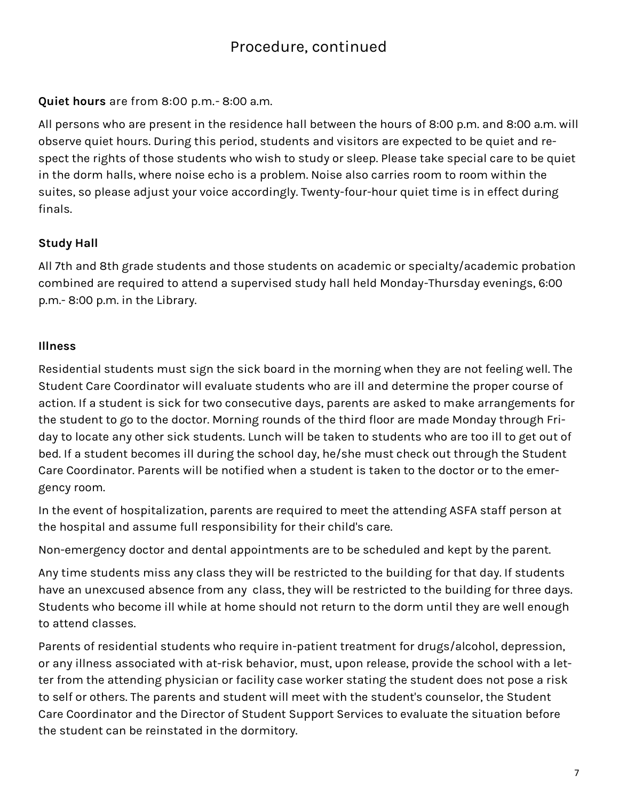**Quiet hours** are from 8:00 p.m.- 8:00 a.m.

All persons who are present in the residence hall between the hours of 8:00 p.m. and 8:00 a.m. will observe quiet hours. During this period, students and visitors are expected to be quiet and respect the rights of those students who wish to study or sleep. Please take special care to be quiet in the dorm halls, where noise echo is a problem. Noise also carries room to room within the suites, so please adjust your voice accordingly. Twenty-four-hour quiet time is in effect during finals.

# **Study Hall**

All 7th and 8th grade students and those students on academic or specialty/academic probation combined are required to attend a supervised study hall held Monday-Thursday evenings, 6:00 p.m.- 8:00 p.m. in the Library.

### **Illness**

Residential students must sign the sick board in the morning when they are not feeling well. The Student Care Coordinator will evaluate students who are ill and determine the proper course of action. If a student is sick for two consecutive days, parents are asked to make arrangements for the student to go to the doctor. Morning rounds of the third floor are made Monday through Friday to locate any other sick students. Lunch will be taken to students who are too ill to get out of bed. If a student becomes ill during the school day, he/she must check out through the Student Care Coordinator. Parents will be notified when a student is taken to the doctor or to the emergency room.

In the event of hospitalization, parents are required to meet the attending ASFA staff person at the hospital and assume full responsibility for their child's care.

Non-emergency doctor and dental appointments are to be scheduled and kept by the parent.

Any time students miss any class they will be restricted to the building for that day. If students have an unexcused absence from any class, they will be restricted to the building for three days. Students who become ill while at home should not return to the dorm until they are well enough to attend classes.

Parents of residential students who require in-patient treatment for drugs/alcohol, depression, or any illness associated with at-risk behavior, must, upon release, provide the school with a letter from the attending physician or facility case worker stating the student does not pose a risk to self or others. The parents and student will meet with the student's counselor, the Student Care Coordinator and the Director of Student Support Services to evaluate the situation before the student can be reinstated in the dormitory.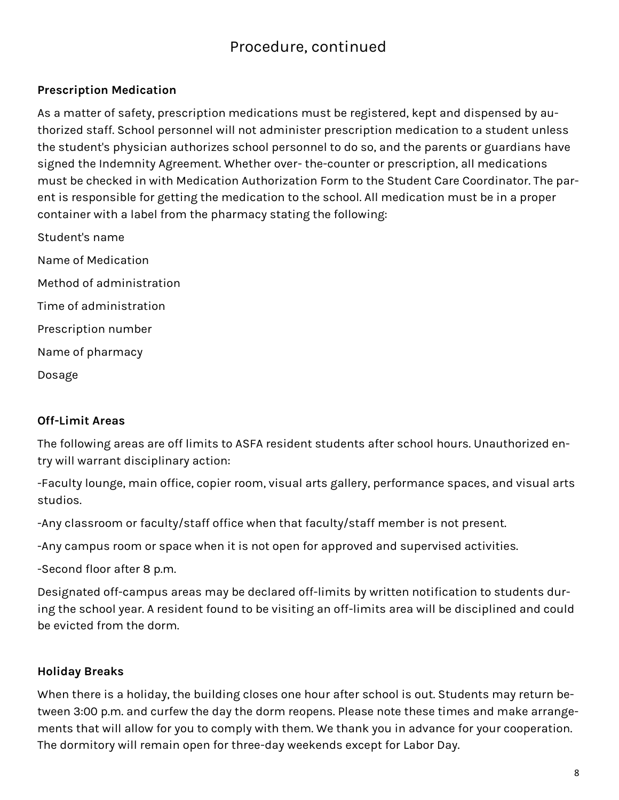### **Prescription Medication**

As a matter of safety, prescription medications must be registered, kept and dispensed by authorized staff. School personnel will not administer prescription medication to a student unless the student's physician authorizes school personnel to do so, and the parents or guardians have signed the Indemnity Agreement. Whether over- the-counter or prescription, all medications must be checked in with Medication Authorization Form to the Student Care Coordinator. The parent is responsible for getting the medication to the school. All medication must be in a proper container with a label from the pharmacy stating the following:

Student's name Name of Medication Method of administration Time of administration Prescription number Name of pharmacy Dosage

#### **Off-Limit Areas**

The following areas are off limits to ASFA resident students after school hours. Unauthorized entry will warrant disciplinary action:

-Faculty lounge, main office, copier room, visual arts gallery, performance spaces, and visual arts studios.

-Any classroom or faculty/staff office when that faculty/staff member is not present.

-Any campus room or space when it is not open for approved and supervised activities.

-Second floor after 8 p.m.

Designated off-campus areas may be declared off-limits by written notification to students during the school year. A resident found to be visiting an off-limits area will be disciplined and could be evicted from the dorm.

#### **Holiday Breaks**

When there is a holiday, the building closes one hour after school is out. Students may return between 3:00 p.m. and curfew the day the dorm reopens. Please note these times and make arrangements that will allow for you to comply with them. We thank you in advance for your cooperation. The dormitory will remain open for three-day weekends except for Labor Day.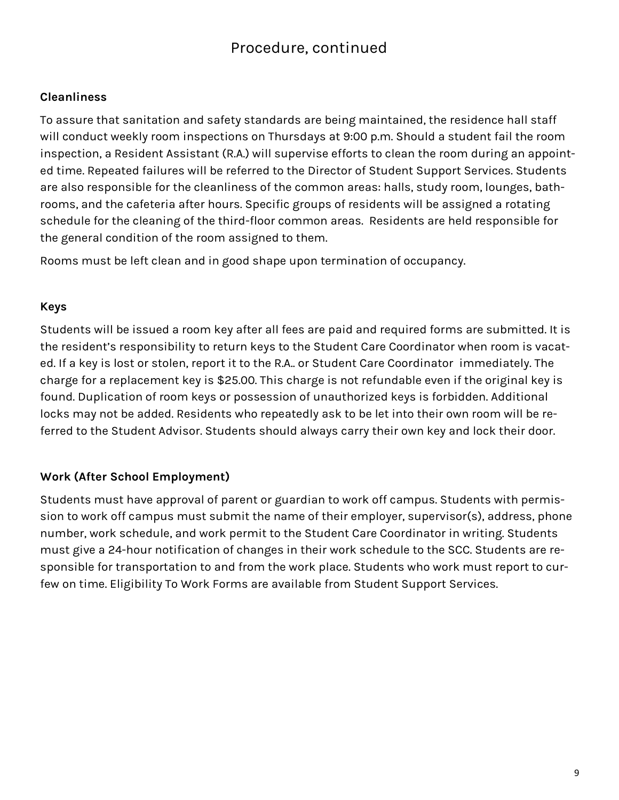#### **Cleanliness**

To assure that sanitation and safety standards are being maintained, the residence hall staff will conduct weekly room inspections on Thursdays at 9:00 p.m. Should a student fail the room inspection, a Resident Assistant (R.A.) will supervise efforts to clean the room during an appointed time. Repeated failures will be referred to the Director of Student Support Services. Students are also responsible for the cleanliness of the common areas: halls, study room, lounges, bathrooms, and the cafeteria after hours. Specific groups of residents will be assigned a rotating schedule for the cleaning of the third-floor common areas. Residents are held responsible for the general condition of the room assigned to them.

Rooms must be left clean and in good shape upon termination of occupancy.

#### **Keys**

Students will be issued a room key after all fees are paid and required forms are submitted. It is the resident's responsibility to return keys to the Student Care Coordinator when room is vacated. If a key is lost or stolen, report it to the R.A.. or Student Care Coordinator immediately. The charge for a replacement key is \$25.00. This charge is not refundable even if the original key is found. Duplication of room keys or possession of unauthorized keys is forbidden. Additional locks may not be added. Residents who repeatedly ask to be let into their own room will be referred to the Student Advisor. Students should always carry their own key and lock their door.

# **Work (After School Employment)**

Students must have approval of parent or guardian to work off campus. Students with permission to work off campus must submit the name of their employer, supervisor(s), address, phone number, work schedule, and work permit to the Student Care Coordinator in writing. Students must give a 24-hour notification of changes in their work schedule to the SCC. Students are responsible for transportation to and from the work place. Students who work must report to curfew on time. Eligibility To Work Forms are available from Student Support Services.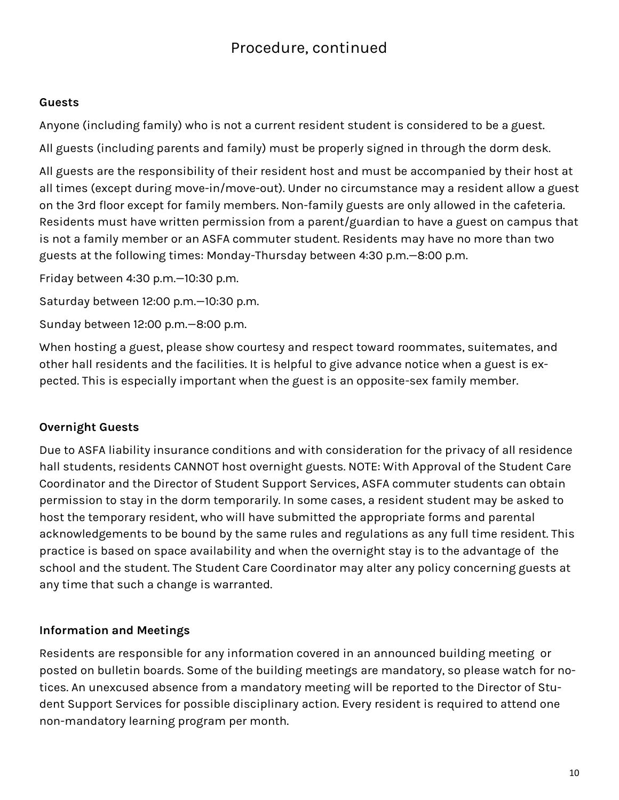#### **Guests**

Anyone (including family) who is not a current resident student is considered to be a guest.

All guests (including parents and family) must be properly signed in through the dorm desk.

All guests are the responsibility of their resident host and must be accompanied by their host at all times (except during move-in/move-out). Under no circumstance may a resident allow a guest on the 3rd floor except for family members. Non-family guests are only allowed in the cafeteria. Residents must have written permission from a parent/guardian to have a guest on campus that is not a family member or an ASFA commuter student. Residents may have no more than two guests at the following times: Monday-Thursday between 4:30 p.m.—8:00 p.m.

Friday between 4:30 p.m.—10:30 p.m.

Saturday between 12:00 p.m.—10:30 p.m.

Sunday between 12:00 p.m.—8:00 p.m.

When hosting a guest, please show courtesy and respect toward roommates, suitemates, and other hall residents and the facilities. It is helpful to give advance notice when a guest is expected. This is especially important when the guest is an opposite-sex family member.

# **Overnight Guests**

Due to ASFA liability insurance conditions and with consideration for the privacy of all residence hall students, residents CANNOT host overnight guests. NOTE: With Approval of the Student Care Coordinator and the Director of Student Support Services, ASFA commuter students can obtain permission to stay in the dorm temporarily. In some cases, a resident student may be asked to host the temporary resident, who will have submitted the appropriate forms and parental acknowledgements to be bound by the same rules and regulations as any full time resident. This practice is based on space availability and when the overnight stay is to the advantage of the school and the student. The Student Care Coordinator may alter any policy concerning guests at any time that such a change is warranted.

# **Information and Meetings**

Residents are responsible for any information covered in an announced building meeting or posted on bulletin boards. Some of the building meetings are mandatory, so please watch for notices. An unexcused absence from a mandatory meeting will be reported to the Director of Student Support Services for possible disciplinary action. Every resident is required to attend one non-mandatory learning program per month.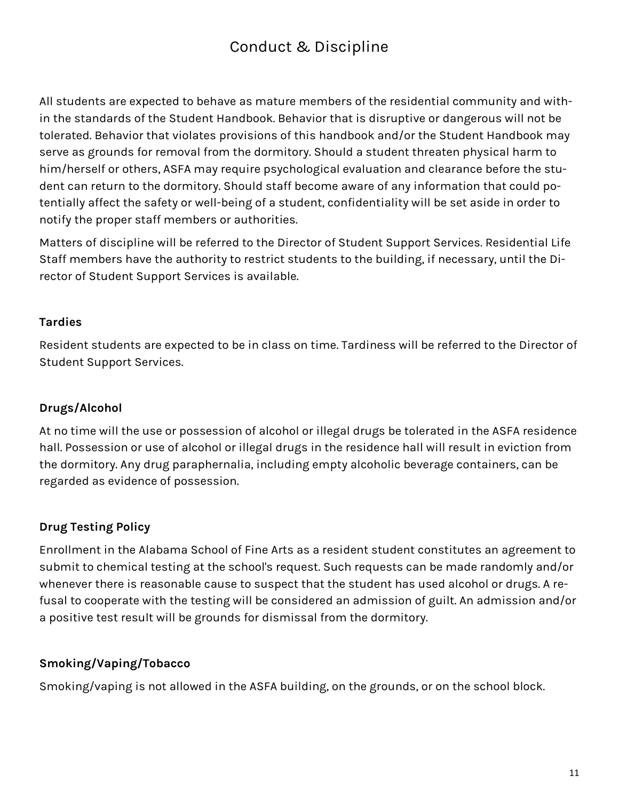# Conduct & Discipline

All students are expected to behave as mature members of the residential community and within the standards of the Student Handbook. Behavior that is disruptive or dangerous will not be tolerated. Behavior that violates provisions of this handbook and/or the Student Handbook may serve as grounds for removal from the dormitory. Should a student threaten physical harm to him/herself or others, ASFA may require psychological evaluation and clearance before the student can return to the dormitory. Should staff become aware of any information that could potentially affect the safety or well-being of a student, confidentiality will be set aside in order to notify the proper staff members or authorities.

Matters of discipline will be referred to the Director of Student Support Services. Residential Life Staff members have the authority to restrict students to the building, if necessary, until the Director of Student Support Services is available.

# **Tardies**

Resident students are expected to be in class on time. Tardiness will be referred to the Director of Student Support Services.

# **Drugs/Alcohol**

At no time will the use or possession of alcohol or illegal drugs be tolerated in the ASFA residence hall. Possession or use of alcohol or illegal drugs in the residence hall will result in eviction from the dormitory. Any drug paraphernalia, including empty alcoholic beverage containers, can be regarded as evidence of possession.

# **Drug Testing Policy**

Enrollment in the Alabama School of Fine Arts as a resident student constitutes an agreement to submit to chemical testing at the school's request. Such requests can be made randomly and/or whenever there is reasonable cause to suspect that the student has used alcohol or drugs. A refusal to cooperate with the testing will be considered an admission of guilt. An admission and/or a positive test result will be grounds for dismissal from the dormitory.

# **Smoking/Vaping/Tobacco**

Smoking/vaping is not allowed in the ASFA building, on the grounds, or on the school block.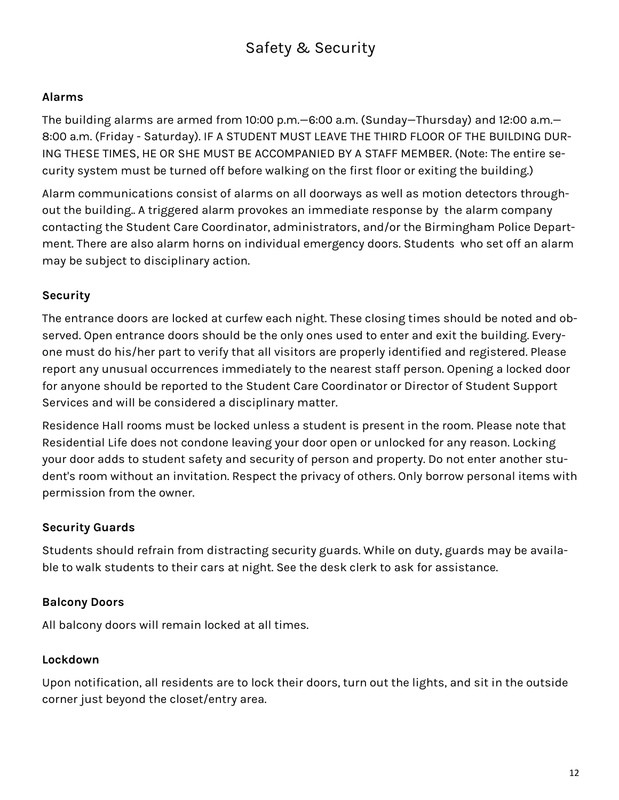# Safety & Security

#### **Alarms**

The building alarms are armed from 10:00 p.m.—6:00 a.m. (Sunday—Thursday) and 12:00 a.m.— 8:00 a.m. (Friday - Saturday). IF A STUDENT MUST LEAVE THE THIRD FLOOR OF THE BUILDING DUR-ING THESE TIMES, HE OR SHE MUST BE ACCOMPANIED BY A STAFF MEMBER. (Note: The entire security system must be turned off before walking on the first floor or exiting the building.)

Alarm communications consist of alarms on all doorways as well as motion detectors throughout the building.. A triggered alarm provokes an immediate response by the alarm company contacting the Student Care Coordinator, administrators, and/or the Birmingham Police Department. There are also alarm horns on individual emergency doors. Students who set off an alarm may be subject to disciplinary action.

### **Security**

The entrance doors are locked at curfew each night. These closing times should be noted and observed. Open entrance doors should be the only ones used to enter and exit the building. Everyone must do his/her part to verify that all visitors are properly identified and registered. Please report any unusual occurrences immediately to the nearest staff person. Opening a locked door for anyone should be reported to the Student Care Coordinator or Director of Student Support Services and will be considered a disciplinary matter.

Residence Hall rooms must be locked unless a student is present in the room. Please note that Residential Life does not condone leaving your door open or unlocked for any reason. Locking your door adds to student safety and security of person and property. Do not enter another student's room without an invitation. Respect the privacy of others. Only borrow personal items with permission from the owner.

#### **Security Guards**

Students should refrain from distracting security guards. While on duty, guards may be available to walk students to their cars at night. See the desk clerk to ask for assistance.

#### **Balcony Doors**

All balcony doors will remain locked at all times.

#### **Lockdown**

Upon notification, all residents are to lock their doors, turn out the lights, and sit in the outside corner just beyond the closet/entry area.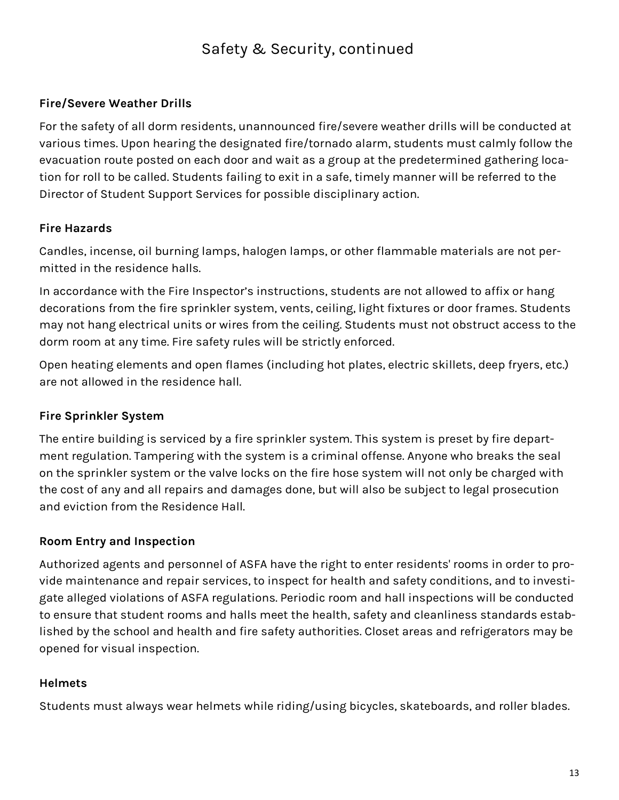# Safety & Security, continued

### **Fire/Severe Weather Drills**

For the safety of all dorm residents, unannounced fire/severe weather drills will be conducted at various times. Upon hearing the designated fire/tornado alarm, students must calmly follow the evacuation route posted on each door and wait as a group at the predetermined gathering location for roll to be called. Students failing to exit in a safe, timely manner will be referred to the Director of Student Support Services for possible disciplinary action.

### **Fire Hazards**

Candles, incense, oil burning lamps, halogen lamps, or other flammable materials are not permitted in the residence halls.

In accordance with the Fire Inspector's instructions, students are not allowed to affix or hang decorations from the fire sprinkler system, vents, ceiling, light fixtures or door frames. Students may not hang electrical units or wires from the ceiling. Students must not obstruct access to the dorm room at any time. Fire safety rules will be strictly enforced.

Open heating elements and open flames (including hot plates, electric skillets, deep fryers, etc.) are not allowed in the residence hall.

# **Fire Sprinkler System**

The entire building is serviced by a fire sprinkler system. This system is preset by fire department regulation. Tampering with the system is a criminal offense. Anyone who breaks the seal on the sprinkler system or the valve locks on the fire hose system will not only be charged with the cost of any and all repairs and damages done, but will also be subject to legal prosecution and eviction from the Residence Hall.

# **Room Entry and Inspection**

Authorized agents and personnel of ASFA have the right to enter residents' rooms in order to provide maintenance and repair services, to inspect for health and safety conditions, and to investigate alleged violations of ASFA regulations. Periodic room and hall inspections will be conducted to ensure that student rooms and halls meet the health, safety and cleanliness standards established by the school and health and fire safety authorities. Closet areas and refrigerators may be opened for visual inspection.

#### **Helmets**

Students must always wear helmets while riding/using bicycles, skateboards, and roller blades.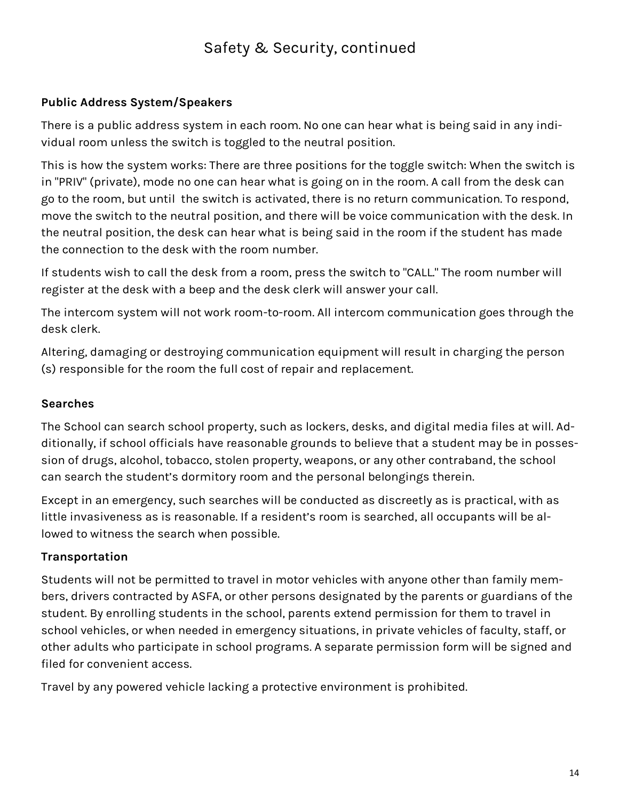# Safety & Security, continued

### **Public Address System/Speakers**

There is a public address system in each room. No one can hear what is being said in any individual room unless the switch is toggled to the neutral position.

This is how the system works: There are three positions for the toggle switch: When the switch is in "PRIV" (private), mode no one can hear what is going on in the room. A call from the desk can go to the room, but until the switch is activated, there is no return communication. To respond, move the switch to the neutral position, and there will be voice communication with the desk. In the neutral position, the desk can hear what is being said in the room if the student has made the connection to the desk with the room number.

If students wish to call the desk from a room, press the switch to "CALL." The room number will register at the desk with a beep and the desk clerk will answer your call.

The intercom system will not work room-to-room. All intercom communication goes through the desk clerk.

Altering, damaging or destroying communication equipment will result in charging the person (s) responsible for the room the full cost of repair and replacement.

# **Searches**

The School can search school property, such as lockers, desks, and digital media files at will. Additionally, if school officials have reasonable grounds to believe that a student may be in possession of drugs, alcohol, tobacco, stolen property, weapons, or any other contraband, the school can search the student's dormitory room and the personal belongings therein.

Except in an emergency, such searches will be conducted as discreetly as is practical, with as little invasiveness as is reasonable. If a resident's room is searched, all occupants will be allowed to witness the search when possible.

# **Transportation**

Students will not be permitted to travel in motor vehicles with anyone other than family members, drivers contracted by ASFA, or other persons designated by the parents or guardians of the student. By enrolling students in the school, parents extend permission for them to travel in school vehicles, or when needed in emergency situations, in private vehicles of faculty, staff, or other adults who participate in school programs. A separate permission form will be signed and filed for convenient access.

Travel by any powered vehicle lacking a protective environment is prohibited.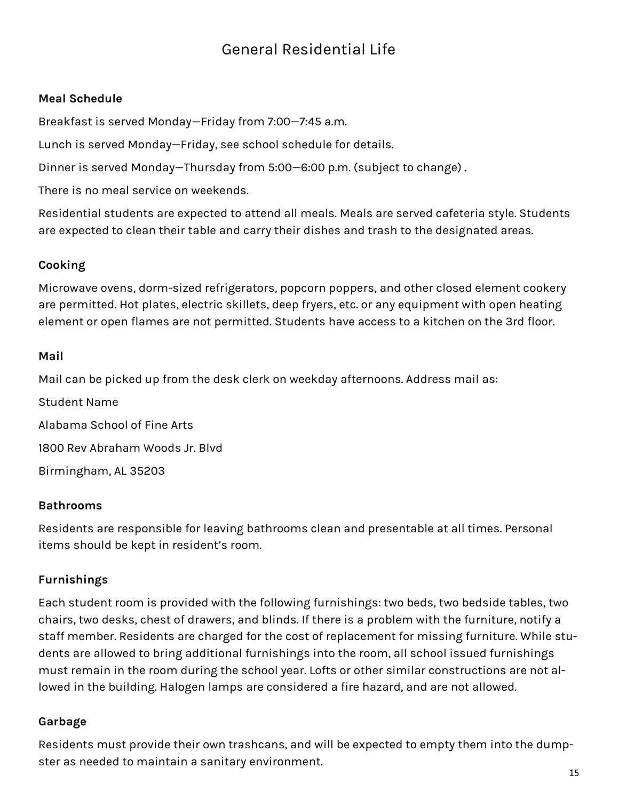# General Residential Life

#### **Meal Schedule**

Breakfast is served Monday—Friday from 7:00—7:45 a.m.

Lunch is served Monday—Friday, see school schedule for details.

Dinner is served Monday—Thursday from 5:00—6:00 p.m. (subject to change) .

There is no meal service on weekends.

Residential students are expected to attend all meals. Meals are served cafeteria style. Students are expected to clean their table and carry their dishes and trash to the designated areas.

#### **Cooking**

Microwave ovens, dorm-sized refrigerators, popcorn poppers, and other closed element cookery are permitted. Hot plates, electric skillets, deep fryers, etc. or any equipment with open heating element or open flames are not permitted. Students have access to a kitchen on the 3rd floor.

#### **Mail**

Mail can be picked up from the desk clerk on weekday afternoons. Address mail as:

Student Name Alabama School of Fine Arts 1800 Rev Abraham Woods Jr. Blvd Birmingham, AL 35203

#### **Bathrooms**

Residents are responsible for leaving bathrooms clean and presentable at all times. Personal items should be kept in resident's room.

#### **Furnishings**

Each student room is provided with the following furnishings: two beds, two bedside tables, two chairs, two desks, chest of drawers, and blinds. If there is a problem with the furniture, notify a staff member. Residents are charged for the cost of replacement for missing furniture. While students are allowed to bring additional furnishings into the room, all school issued furnishings must remain in the room during the school year. Lofts or other similar constructions are not allowed in the building. Halogen lamps are considered a fire hazard, and are not allowed.

#### **Garbage**

Residents must provide their own trashcans, and will be expected to empty them into the dumpster as needed to maintain a sanitary environment.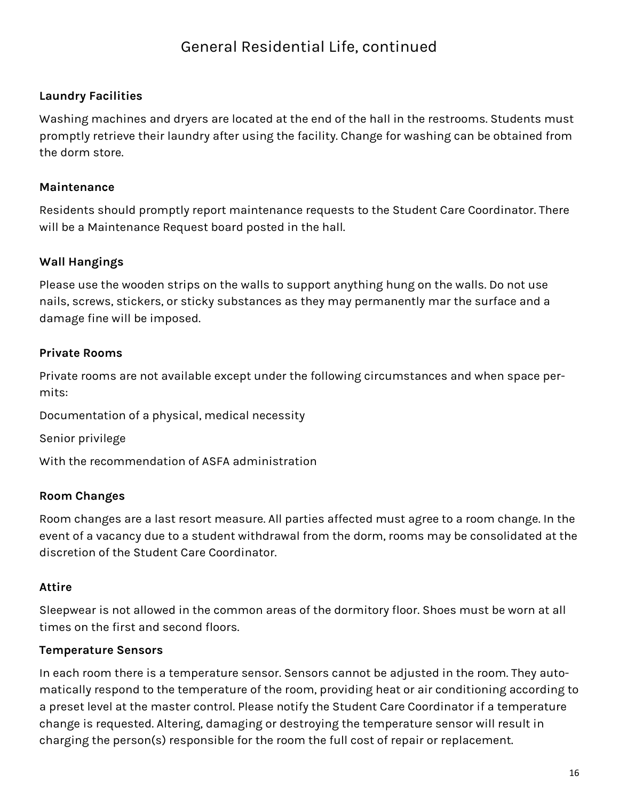# **Laundry Facilities**

Washing machines and dryers are located at the end of the hall in the restrooms. Students must promptly retrieve their laundry after using the facility. Change for washing can be obtained from the dorm store.

### **Maintenance**

Residents should promptly report maintenance requests to the Student Care Coordinator. There will be a Maintenance Request board posted in the hall.

# **Wall Hangings**

Please use the wooden strips on the walls to support anything hung on the walls. Do not use nails, screws, stickers, or sticky substances as they may permanently mar the surface and a damage fine will be imposed.

# **Private Rooms**

Private rooms are not available except under the following circumstances and when space permits:

Documentation of a physical, medical necessity

Senior privilege

With the recommendation of ASFA administration

# **Room Changes**

Room changes are a last resort measure. All parties affected must agree to a room change. In the event of a vacancy due to a student withdrawal from the dorm, rooms may be consolidated at the discretion of the Student Care Coordinator.

# **Attire**

Sleepwear is not allowed in the common areas of the dormitory floor. Shoes must be worn at all times on the first and second floors.

# **Temperature Sensors**

In each room there is a temperature sensor. Sensors cannot be adjusted in the room. They automatically respond to the temperature of the room, providing heat or air conditioning according to a preset level at the master control. Please notify the Student Care Coordinator if a temperature change is requested. Altering, damaging or destroying the temperature sensor will result in charging the person(s) responsible for the room the full cost of repair or replacement.